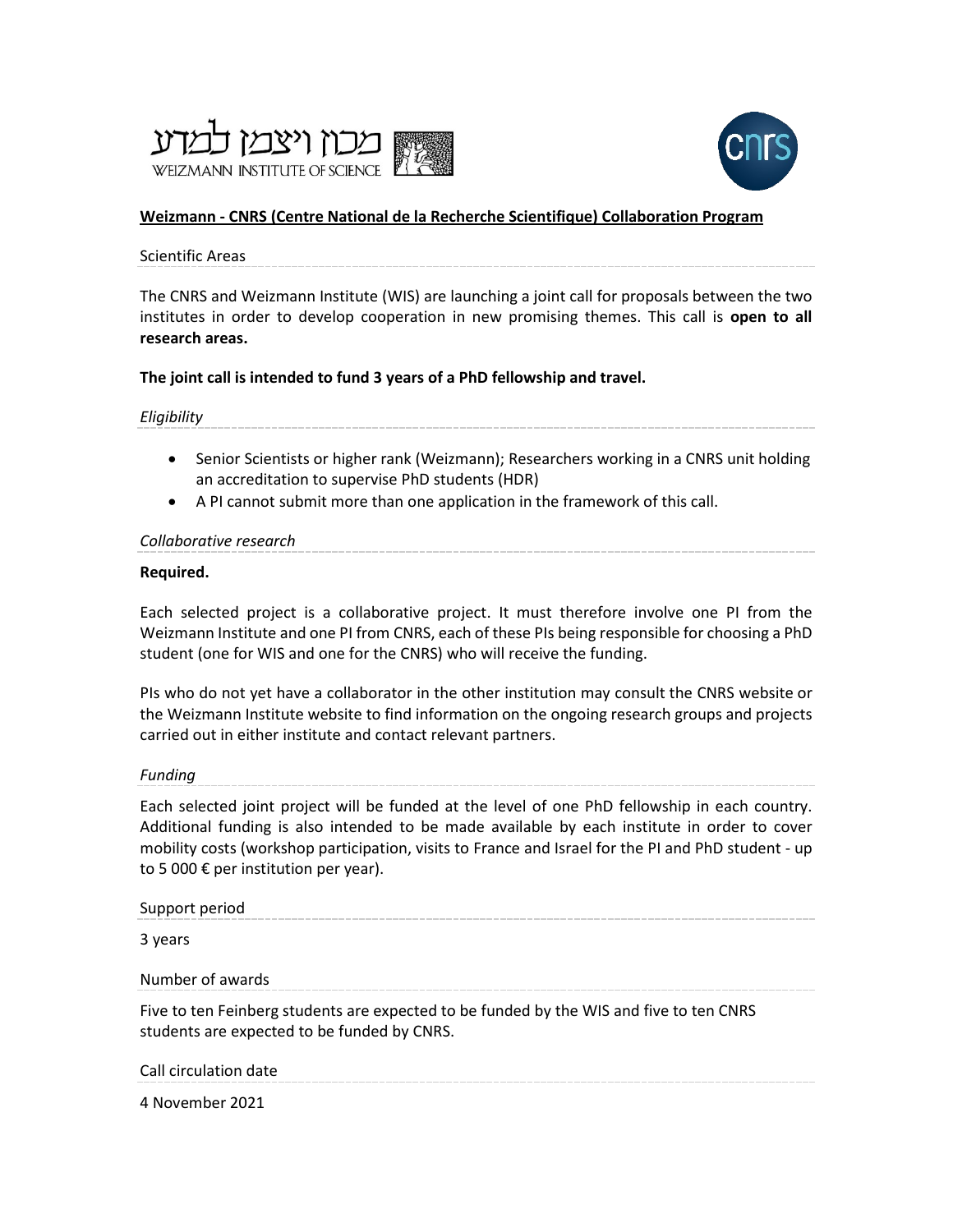



## **Weizmann - [CNRS \(Centre National de la Recherche Scientifique\) Collaboration Program](https://www.weizmann.ac.il/RGP/agency/763/all)**

#### Scientific Areas

The CNRS and Weizmann Institute (WIS) are launching a joint call for proposals between the two institutes in order to develop cooperation in new promising themes. This call is **open to all research areas.**

# **The joint call is intended to fund 3 years of a PhD fellowship and travel.**

## *Eligibility*

- Senior Scientists or higher rank (Weizmann); Researchers working in a CNRS unit holding an accreditation to supervise PhD students (HDR)
- A PI cannot submit more than one application in the framework of this call.

## *Collaborative research*

## **Required.**

Each selected project is a collaborative project. It must therefore involve one PI from the Weizmann Institute and one PI from CNRS, each of these PIs being responsible for choosing a PhD student (one for WIS and one for the CNRS) who will receive the funding.

PIs who do not yet have a collaborator in the other institution may consult the [CNRS website](http://www.cnrs.fr/index.html) or the [Weizmann Institute website](https://www.weizmann.ac.il/pages/faculties-and-departments) to find information on the ongoing research groups and projects carried out in either institute and contact relevant partners.

#### *Funding*

Each selected joint project will be funded at the level of one PhD fellowship in each country. Additional funding is also intended to be made available by each institute in order to cover mobility costs (workshop participation, visits to France and Israel for the PI and PhD student - up to 5 000  $\epsilon$  per institution per year).

#### Support period

3 years

Number of awards

Five to ten Feinberg students are expected to be funded by the WIS and five to ten CNRS students are expected to be funded by CNRS.

Call circulation date

4 November 2021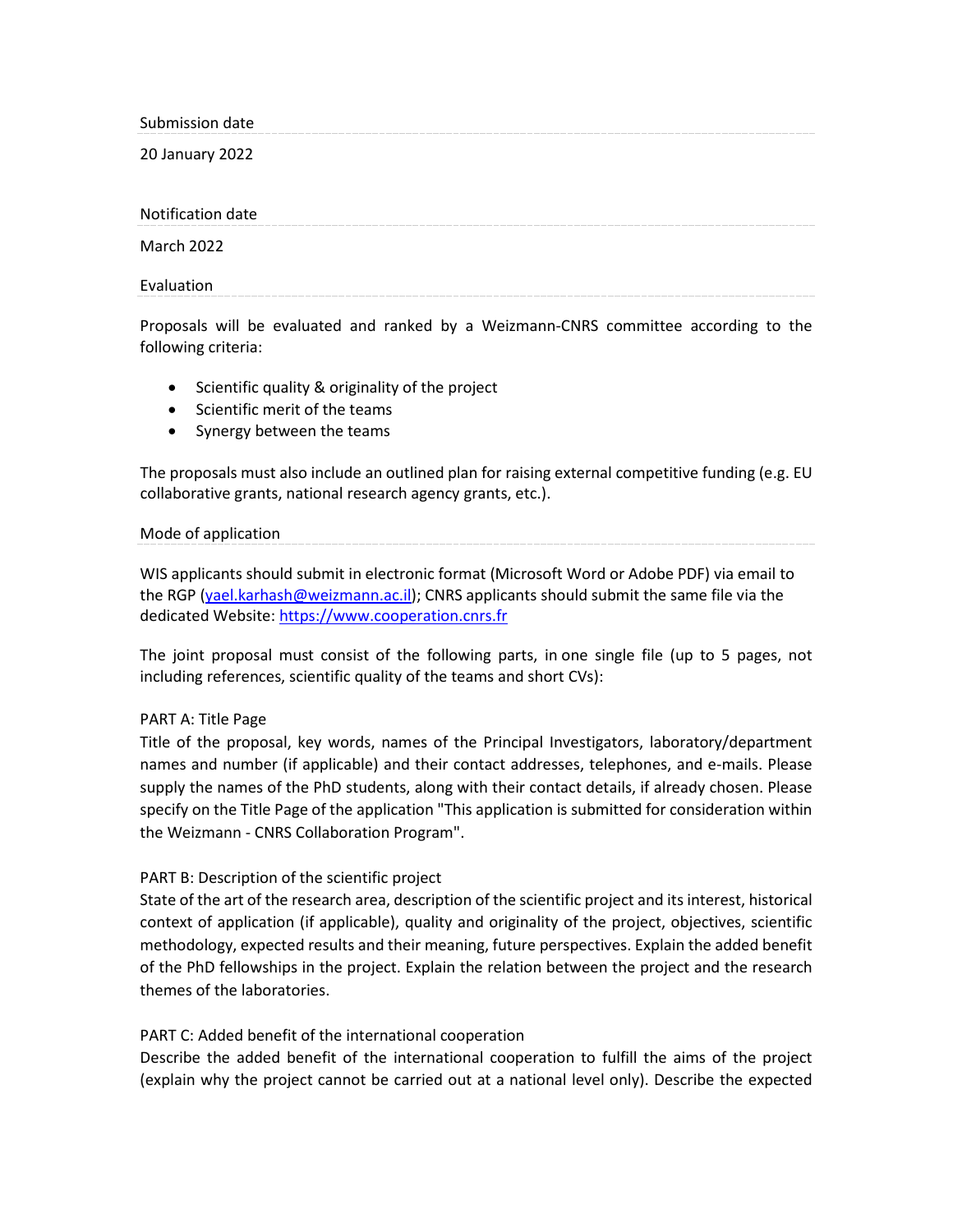Submission date

20 January 2022

Notification date

March 2022

Evaluation

Proposals will be evaluated and ranked by a Weizmann-CNRS committee according to the following criteria:

- Scientific quality & originality of the project
- Scientific merit of the teams
- Synergy between the teams

The proposals must also include an outlined plan for raising external competitive funding (e.g. EU collaborative grants, national research agency grants, etc.).

## Mode of application

WIS applicants should submit in electronic format (Microsoft Word or Adobe PDF) via email to the RGP [\(yael.karhash@weizmann.ac.il\)](mailto:yael.karhash@weizmann.ac.il); CNRS applicants should submit the same file via the dedicated Website: [https://www.cooperation.cnrs.fr](https://www.cooperation.cnrs.fr/)

The joint proposal must consist of the following parts, in one single file (up to 5 pages, not including references, scientific quality of the teams and short CVs):

## PART A: Title Page

Title of the proposal, key words, names of the Principal Investigators, laboratory/department names and number (if applicable) and their contact addresses, telephones, and e-mails. Please supply the names of the PhD students, along with their contact details, if already chosen. Please specify on the Title Page of the application "This application is submitted for consideration within the Weizmann - CNRS Collaboration Program".

## PART B: Description of the scientific project

State of the art of the research area, description of the scientific project and its interest, historical context of application (if applicable), quality and originality of the project, objectives, scientific methodology, expected results and their meaning, future perspectives. Explain the added benefit of the PhD fellowships in the project. Explain the relation between the project and the research themes of the laboratories.

## PART C: Added benefit of the international cooperation

Describe the added benefit of the international cooperation to fulfill the aims of the project (explain why the project cannot be carried out at a national level only). Describe the expected